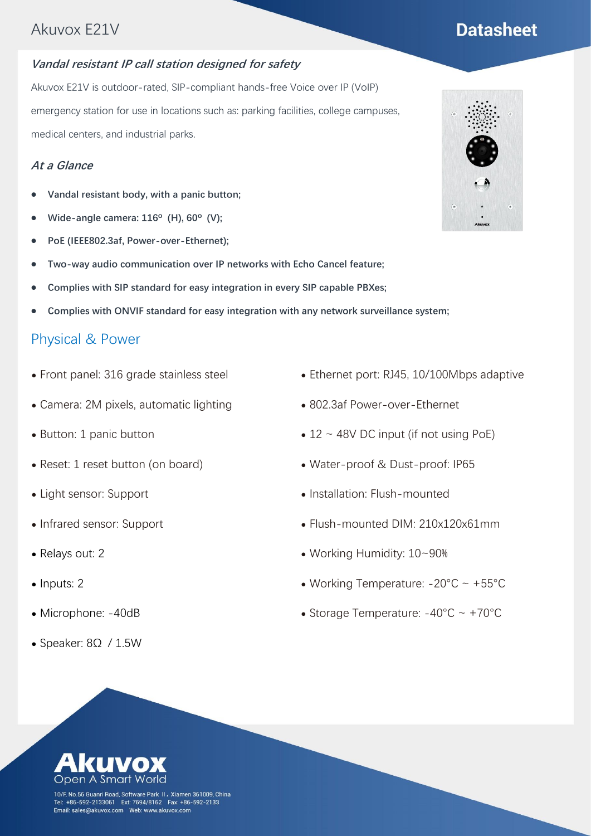# **Datasheet**

#### **Vandal resistant IP call station designed for safety**

Akuvox E21V is outdoor-rated, SIP-compliant hands-free Voice over IP (VoIP) emergency station for use in locations such as: parking facilities, college campuses, medical centers, and industrial parks.

#### **At a Glance**

- ⚫ **Vandal resistant body, with a panic button;**
- ⚫ **Wide-angle camera: 116º (H), 60º (V);**
- ⚫ **PoE (IEEE802.3af, Power-over-Ethernet);**
- ⚫ **Two-way audio communication over IP networks with Echo Cancel feature;**
- ⚫ **Complies with SIP standard for easy integration in every SIP capable PBXes;**
- ⚫ **Complies with ONVIF standard for easy integration with any network surveillance system;**

#### Physical & Power

- ⚫ Front panel: 316 grade stainless steel
- ⚫ Camera: 2M pixels, automatic lighting
- Button: 1 panic button
- Reset: 1 reset button (on board)
- ⚫ Light sensor: Support
- ⚫ Infrared sensor: Support
- ⚫ Relays out: 2
- Inputs: 2
- ⚫ Microphone: -40dB
- ⚫ Speaker: 8Ω / 1.5W
- ⚫ Ethernet port: RJ45, 10/100Mbps adaptive
- ⚫ 802.3af Power-over-Ethernet
- $\bullet$  12 ~ 48V DC input (if not using PoE)
- ⚫ Water-proof & Dust-proof: IP65
- ⚫ Installation: Flush-mounted
- ⚫ Flush-mounted DIM: 210x120x61mm
- ⚫ Working Humidity: 10~90%
- ⚫ Working Temperature: -20°C ~ +55°C
- Storage Temperature:  $-40^{\circ}$ C ~  $+70^{\circ}$ C



10/F, No.56 Guanri Road, Software Park II, Xiamen 361009, China Tel: +86-592-2133061 Ext: 7694/8162 Fax: +86-592-2133<br>Tel: +86-592-2133061 Ext: 7694/8162 Fax: +86-592-2133<br>Email: sales@akuvox.com Web: www.akuvox.com